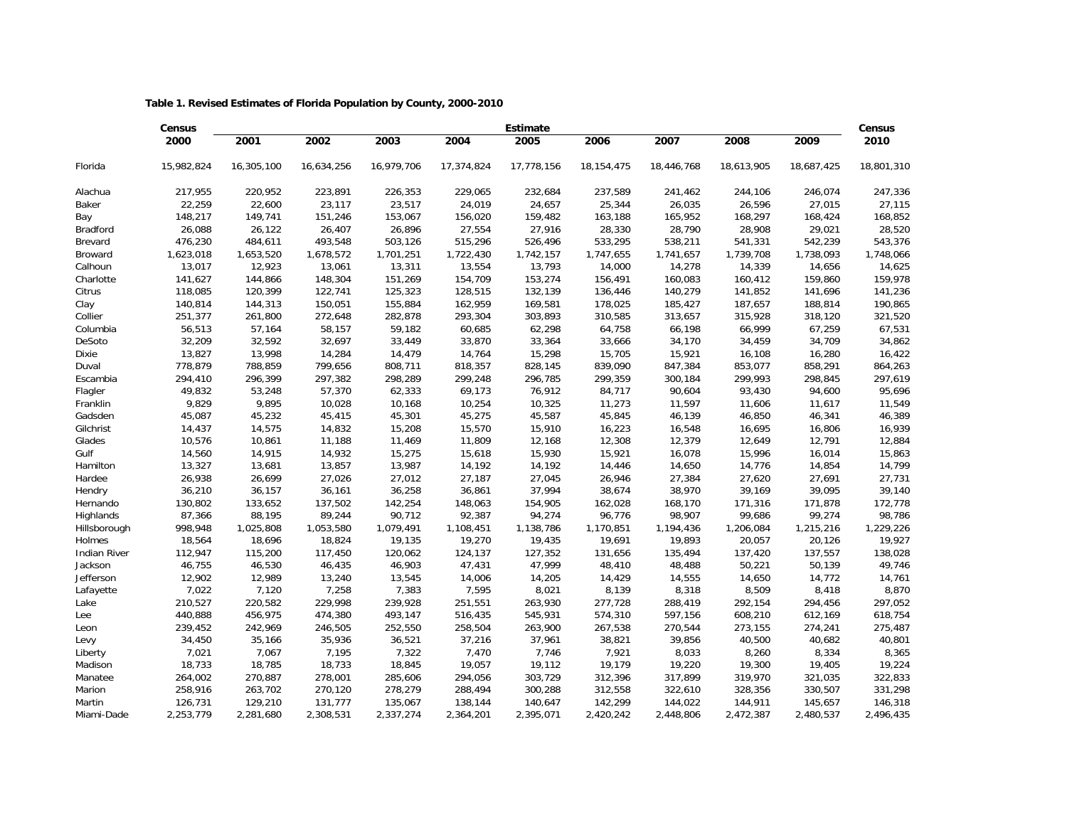## **Table 1. Revised Estimates of Florida Population by County, 2000-2010**

|                     | <b>Census</b> | <b>Estimate</b> |            |            |            |            |              |            |            |            |            |  |
|---------------------|---------------|-----------------|------------|------------|------------|------------|--------------|------------|------------|------------|------------|--|
|                     | 2000          | 2001            | 2002       | 2003       | 2004       | 2005       | 2006         | 2007       | 2008       | 2009       | 2010       |  |
| Florida             | 15,982,824    | 16,305,100      | 16,634,256 | 16,979,706 | 17,374,824 | 17,778,156 | 18, 154, 475 | 18,446,768 | 18,613,905 | 18,687,425 | 18,801,310 |  |
| Alachua             | 217,955       | 220,952         | 223,891    | 226,353    | 229,065    | 232,684    | 237,589      | 241,462    | 244,106    | 246,074    | 247,336    |  |
| Baker               | 22,259        | 22,600          | 23,117     | 23,517     | 24,019     | 24,657     | 25,344       | 26,035     | 26,596     | 27,015     | 27,115     |  |
| Bay                 | 148,217       | 149,741         | 151,246    | 153,067    | 156,020    | 159,482    | 163,188      | 165,952    | 168,297    | 168,424    | 168,852    |  |
| <b>Bradford</b>     | 26,088        | 26,122          | 26,407     | 26,896     | 27,554     | 27,916     | 28,330       | 28,790     | 28,908     | 29,021     | 28,520     |  |
| Brevard             | 476,230       | 484,611         | 493,548    | 503,126    | 515,296    | 526,496    | 533,295      | 538,211    | 541,331    | 542,239    | 543,376    |  |
| Broward             | 1,623,018     | 1,653,520       | 1,678,572  | 1,701,251  | 1,722,430  | 1,742,157  | 1,747,655    | 1,741,657  | 1,739,708  | 1,738,093  | 1,748,066  |  |
| Calhoun             | 13,017        | 12,923          | 13,061     | 13,311     | 13,554     | 13,793     | 14,000       | 14,278     | 14,339     | 14,656     | 14,625     |  |
| Charlotte           | 141,627       | 144,866         | 148,304    | 151,269    | 154,709    | 153,274    | 156,491      | 160,083    | 160,412    | 159,860    | 159,978    |  |
| Citrus              | 118,085       | 120,399         | 122,741    | 125,323    | 128,515    | 132,139    | 136,446      | 140,279    | 141,852    | 141,696    | 141,236    |  |
| Clay                | 140,814       | 144,313         | 150,051    | 155,884    | 162,959    | 169,581    | 178,025      | 185,427    | 187,657    | 188,814    | 190,865    |  |
| Collier             | 251,377       | 261,800         | 272,648    | 282,878    | 293,304    | 303,893    | 310,585      | 313,657    | 315,928    | 318,120    | 321,520    |  |
| Columbia            | 56,513        | 57,164          | 58,157     | 59,182     | 60,685     | 62,298     | 64,758       | 66,198     | 66,999     | 67,259     | 67,531     |  |
| DeSoto              | 32,209        | 32,592          | 32,697     | 33,449     | 33,870     | 33,364     | 33,666       | 34,170     | 34,459     | 34,709     | 34,862     |  |
| Dixie               | 13,827        | 13,998          | 14,284     | 14,479     | 14,764     | 15,298     | 15,705       | 15,921     | 16,108     | 16,280     | 16,422     |  |
| Duval               | 778,879       | 788,859         | 799,656    | 808,711    | 818,357    | 828,145    | 839,090      | 847,384    | 853,077    | 858,291    | 864,263    |  |
| Escambia            | 294,410       | 296,399         | 297,382    | 298,289    | 299,248    | 296,785    | 299,359      | 300,184    | 299,993    | 298,845    | 297,619    |  |
| Flagler             | 49,832        | 53,248          | 57,370     | 62,333     | 69,173     | 76,912     | 84,717       | 90,604     | 93,430     | 94,600     | 95,696     |  |
| Franklin            | 9,829         | 9,895           | 10,028     | 10,168     | 10,254     | 10,325     | 11,273       | 11,597     | 11,606     | 11,617     | 11,549     |  |
| Gadsden             | 45,087        | 45,232          | 45,415     | 45,301     | 45,275     | 45,587     | 45,845       | 46,139     | 46,850     | 46,341     | 46,389     |  |
| Gilchrist           | 14,437        | 14,575          | 14,832     | 15,208     | 15,570     | 15,910     | 16,223       | 16,548     | 16,695     | 16,806     | 16,939     |  |
| Glades              | 10,576        | 10,861          | 11,188     | 11,469     | 11,809     | 12,168     | 12,308       | 12,379     | 12,649     | 12,791     | 12,884     |  |
| Gulf                | 14,560        | 14,915          | 14,932     | 15,275     | 15,618     | 15,930     | 15,921       | 16,078     | 15,996     | 16,014     | 15,863     |  |
| Hamilton            | 13,327        | 13,681          | 13,857     | 13,987     | 14,192     | 14,192     | 14,446       | 14,650     | 14,776     | 14,854     | 14,799     |  |
| Hardee              | 26,938        | 26,699          | 27,026     | 27,012     | 27,187     | 27,045     | 26,946       | 27,384     | 27,620     | 27,691     | 27,731     |  |
| Hendry              | 36,210        | 36,157          | 36,161     | 36,258     | 36,861     | 37,994     | 38,674       | 38,970     | 39,169     | 39,095     | 39,140     |  |
| Hernando            | 130,802       | 133,652         | 137,502    | 142,254    | 148,063    | 154,905    | 162,028      | 168,170    | 171,316    | 171,878    | 172,778    |  |
| Highlands           | 87,366        | 88,195          | 89,244     | 90,712     | 92,387     | 94,274     | 96,776       | 98,907     | 99,686     | 99,274     | 98,786     |  |
| Hillsborough        | 998,948       | 1,025,808       | 1,053,580  | 1,079,491  | 1,108,451  | 1,138,786  | 1,170,851    | 1,194,436  | 1,206,084  | 1,215,216  | 1,229,226  |  |
| Holmes              | 18,564        | 18,696          | 18,824     | 19,135     | 19,270     | 19,435     | 19,691       | 19,893     | 20,057     | 20,126     | 19,927     |  |
| <b>Indian River</b> | 112,947       | 115,200         | 117,450    | 120,062    | 124,137    | 127,352    | 131,656      | 135,494    | 137,420    | 137,557    | 138,028    |  |
| Jackson             | 46,755        | 46,530          | 46,435     | 46,903     | 47,431     | 47,999     | 48,410       | 48,488     | 50,221     | 50,139     | 49,746     |  |
| Jefferson           | 12,902        | 12,989          | 13,240     | 13,545     | 14,006     | 14,205     | 14,429       | 14,555     | 14,650     | 14,772     | 14,761     |  |
| Lafayette           | 7,022         | 7,120           | 7,258      | 7,383      | 7,595      | 8,021      | 8,139        | 8,318      | 8,509      | 8,418      | 8,870      |  |
| Lake                | 210,527       | 220,582         | 229,998    | 239,928    | 251,551    | 263,930    | 277,728      | 288,419    | 292,154    | 294,456    | 297,052    |  |
| Lee                 | 440,888       | 456,975         | 474,380    | 493,147    | 516,435    | 545,931    | 574,310      | 597,156    | 608,210    | 612,169    | 618,754    |  |
| Leon                | 239,452       | 242,969         | 246,505    | 252,550    | 258,504    | 263,900    | 267,538      | 270,544    | 273,155    | 274,241    | 275,487    |  |
| Levy                | 34,450        | 35,166          | 35,936     | 36,521     | 37,216     | 37,961     | 38,821       | 39,856     | 40,500     | 40,682     | 40,801     |  |
| Liberty             | 7,021         | 7,067           | 7,195      | 7,322      | 7,470      | 7,746      | 7,921        | 8,033      | 8,260      | 8,334      | 8,365      |  |
| Madison             | 18,733        | 18,785          | 18,733     | 18,845     | 19,057     | 19,112     | 19,179       | 19,220     | 19,300     | 19,405     | 19,224     |  |
| Manatee             | 264,002       | 270,887         | 278,001    | 285,606    | 294,056    | 303,729    | 312,396      | 317,899    | 319,970    | 321,035    | 322,833    |  |
| Marion              | 258,916       | 263,702         | 270,120    | 278,279    | 288,494    | 300,288    | 312,558      | 322,610    | 328,356    | 330,507    | 331,298    |  |
| Martin              | 126,731       | 129,210         | 131,777    | 135,067    | 138,144    | 140,647    | 142,299      | 144,022    | 144,911    | 145,657    | 146,318    |  |
| Miami-Dade          | 2,253,779     | 2,281,680       | 2,308,531  | 2,337,274  | 2,364,201  | 2,395,071  | 2,420,242    | 2,448,806  | 2,472,387  | 2,480,537  | 2,496,435  |  |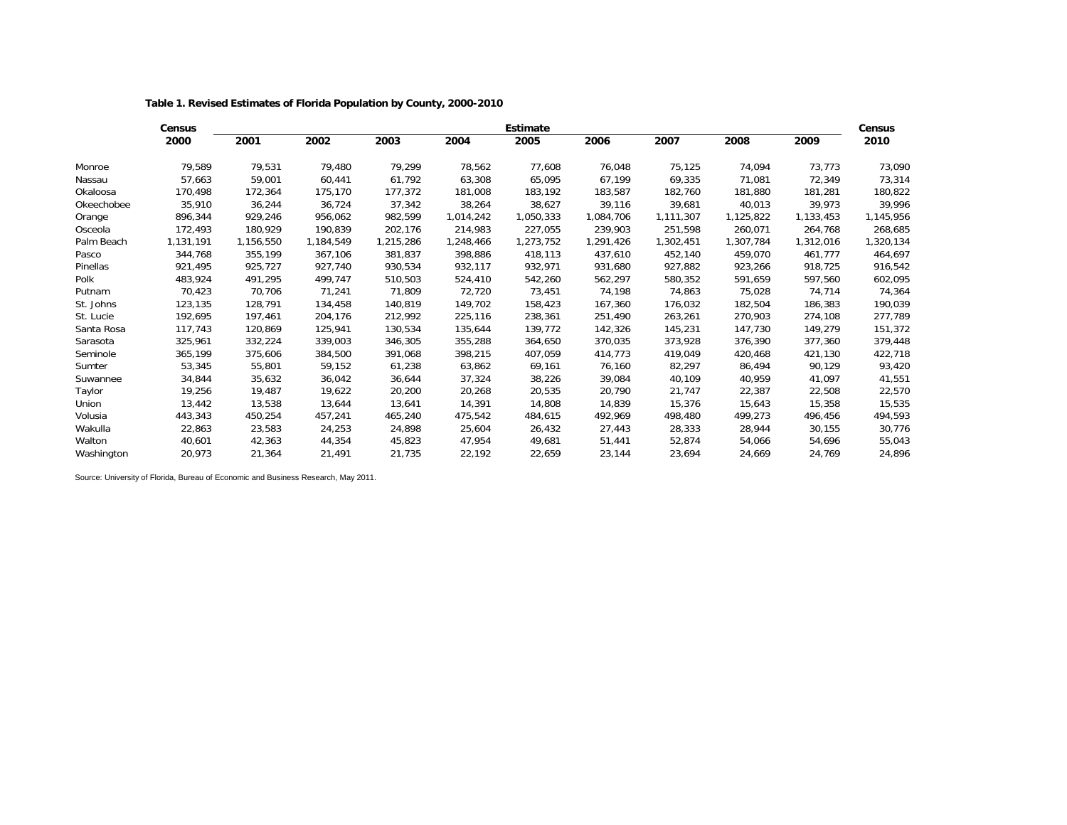**Table 1. Revised Estimates of Florida Population by County, 2000-2010**

|            | Census    |           |           |           |           | <b>Estimate</b> |           |           | Census    |           |           |
|------------|-----------|-----------|-----------|-----------|-----------|-----------------|-----------|-----------|-----------|-----------|-----------|
|            | 2000      | 2001      | 2002      | 2003      | 2004      | 2005            | 2006      | 2007      | 2008      | 2009      | 2010      |
| Monroe     | 79,589    | 79,531    | 79,480    | 79,299    | 78,562    | 77,608          | 76,048    | 75,125    | 74,094    | 73,773    | 73,090    |
| Nassau     | 57,663    | 59,001    | 60,441    | 61,792    | 63,308    | 65,095          | 67,199    | 69,335    | 71,081    | 72,349    | 73,314    |
| Okaloosa   | 170,498   | 172,364   | 175,170   | 177,372   | 181.008   | 183,192         | 183,587   | 182,760   | 181,880   | 181,281   | 180,822   |
| Okeechobee | 35,910    | 36,244    | 36,724    | 37,342    | 38,264    | 38,627          | 39,116    | 39,681    | 40,013    | 39,973    | 39,996    |
| Orange     | 896,344   | 929,246   | 956,062   | 982,599   | 1,014,242 | 1,050,333       | 1,084,706 | 1,111,307 | 1,125,822 | 1,133,453 | 1,145,956 |
| Osceola    | 172,493   | 180,929   | 190,839   | 202,176   | 214,983   | 227,055         | 239,903   | 251,598   | 260,071   | 264,768   | 268,685   |
| Palm Beach | 1,131,191 | 1,156,550 | 1,184,549 | 1,215,286 | 1,248,466 | 1,273,752       | 1,291,426 | 1,302,451 | 1,307,784 | 1,312,016 | 1,320,134 |
| Pasco      | 344,768   | 355,199   | 367,106   | 381,837   | 398,886   | 418,113         | 437,610   | 452,140   | 459,070   | 461,777   | 464,697   |
| Pinellas   | 921,495   | 925,727   | 927,740   | 930,534   | 932,117   | 932,971         | 931,680   | 927,882   | 923,266   | 918,725   | 916,542   |
| Polk       | 483,924   | 491,295   | 499,747   | 510,503   | 524,410   | 542,260         | 562,297   | 580,352   | 591,659   | 597,560   | 602,095   |
| Putnam     | 70,423    | 70,706    | 71,241    | 71,809    | 72,720    | 73,451          | 74,198    | 74,863    | 75,028    | 74,714    | 74,364    |
| St. Johns  | 123,135   | 128,791   | 134,458   | 140,819   | 149,702   | 158,423         | 167,360   | 176,032   | 182,504   | 186,383   | 190,039   |
| St. Lucie  | 192,695   | 197,461   | 204,176   | 212,992   | 225,116   | 238,361         | 251,490   | 263,261   | 270,903   | 274,108   | 277,789   |
| Santa Rosa | 117,743   | 120,869   | 125,941   | 130,534   | 135,644   | 139.772         | 142,326   | 145,231   | 147,730   | 149,279   | 151,372   |
| Sarasota   | 325,961   | 332,224   | 339,003   | 346,305   | 355,288   | 364,650         | 370,035   | 373,928   | 376,390   | 377,360   | 379,448   |
| Seminole   | 365,199   | 375,606   | 384,500   | 391,068   | 398,215   | 407,059         | 414,773   | 419,049   | 420,468   | 421,130   | 422,718   |
| Sumter     | 53,345    | 55,801    | 59,152    | 61,238    | 63,862    | 69,161          | 76,160    | 82,297    | 86,494    | 90,129    | 93,420    |
| Suwannee   | 34,844    | 35,632    | 36,042    | 36,644    | 37,324    | 38,226          | 39,084    | 40,109    | 40,959    | 41,097    | 41,551    |
| Taylor     | 19,256    | 19,487    | 19,622    | 20,200    | 20,268    | 20,535          | 20,790    | 21,747    | 22,387    | 22,508    | 22,570    |
| Union      | 13,442    | 13,538    | 13,644    | 13,641    | 14,391    | 14,808          | 14,839    | 15,376    | 15,643    | 15,358    | 15,535    |
| Volusia    | 443,343   | 450,254   | 457,241   | 465,240   | 475,542   | 484,615         | 492,969   | 498,480   | 499,273   | 496,456   | 494,593   |
| Wakulla    | 22,863    | 23,583    | 24,253    | 24,898    | 25,604    | 26,432          | 27,443    | 28,333    | 28,944    | 30,155    | 30,776    |
| Walton     | 40,601    | 42,363    | 44,354    | 45,823    | 47,954    | 49,681          | 51,441    | 52,874    | 54,066    | 54,696    | 55,043    |
| Washington | 20,973    | 21,364    | 21.491    | 21,735    | 22,192    | 22,659          | 23,144    | 23,694    | 24,669    | 24,769    | 24,896    |

Source: University of Florida, Bureau of Economic and Business Research, May 2011.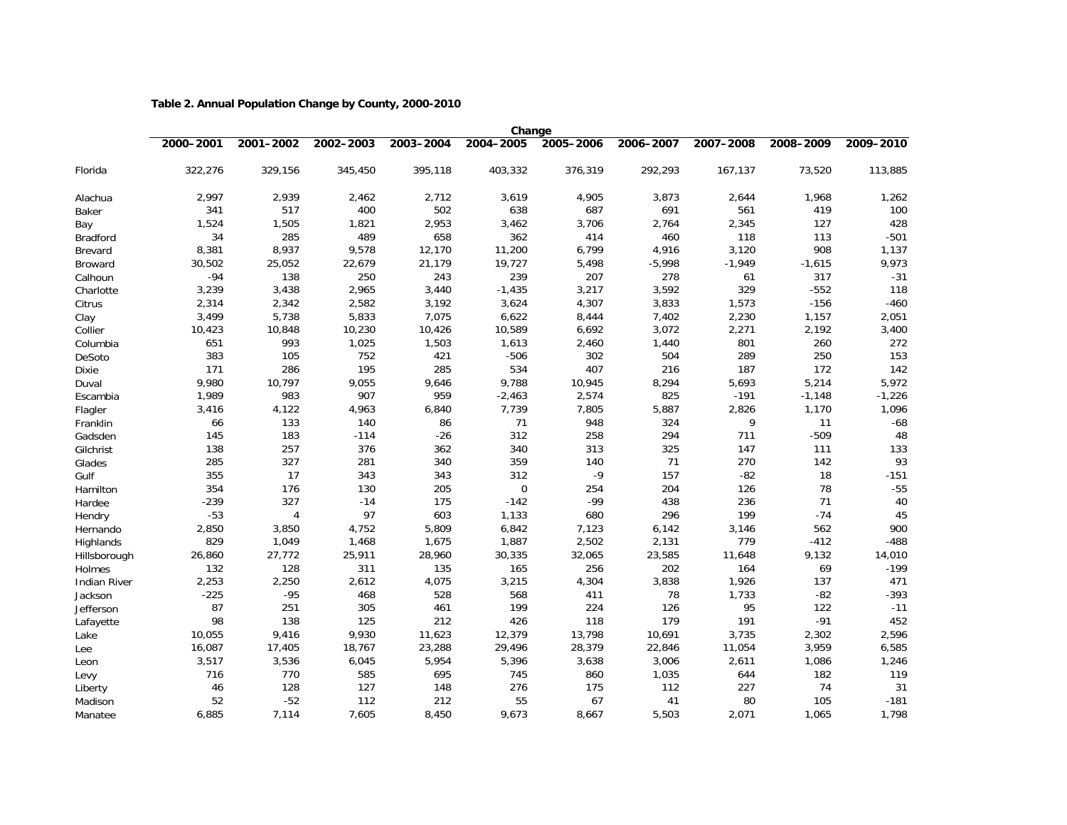## **Table 2. Annual Population Change by County, 2000-2010**

|                     | Change    |           |           |           |           |           |           |           |           |           |
|---------------------|-----------|-----------|-----------|-----------|-----------|-----------|-----------|-----------|-----------|-----------|
|                     | 2000-2001 | 2001-2002 | 2002-2003 | 2003-2004 | 2004-2005 | 2005-2006 | 2006-2007 | 2007-2008 | 2008-2009 | 2009-2010 |
| Florida             | 322,276   | 329,156   | 345,450   | 395,118   | 403,332   | 376,319   | 292,293   | 167,137   | 73,520    | 113,885   |
| Alachua             | 2,997     | 2,939     | 2,462     | 2,712     | 3,619     | 4,905     | 3,873     | 2,644     | 1,968     | 1,262     |
| Baker               | 341       | 517       | 400       | 502       | 638       | 687       | 691       | 561       | 419       | 100       |
| Bay                 | 1,524     | 1,505     | 1,821     | 2,953     | 3,462     | 3,706     | 2,764     | 2,345     | 127       | 428       |
| <b>Bradford</b>     | 34        | 285       | 489       | 658       | 362       | 414       | 460       | 118       | 113       | $-501$    |
| Brevard             | 8,381     | 8,937     | 9,578     | 12,170    | 11,200    | 6,799     | 4,916     | 3,120     | 908       | 1,137     |
| Broward             | 30,502    | 25,052    | 22,679    | 21,179    | 19,727    | 5,498     | $-5,998$  | $-1,949$  | $-1,615$  | 9,973     |
| Calhoun             | $-94$     | 138       | 250       | 243       | 239       | 207       | 278       | 61        | 317       | $-31$     |
| Charlotte           | 3,239     | 3,438     | 2,965     | 3,440     | $-1,435$  | 3,217     | 3,592     | 329       | $-552$    | 118       |
| Citrus              | 2,314     | 2,342     | 2,582     | 3,192     | 3,624     | 4,307     | 3,833     | 1,573     | $-156$    | $-460$    |
| Clay                | 3,499     | 5,738     | 5,833     | 7,075     | 6,622     | 8,444     | 7,402     | 2,230     | 1,157     | 2,051     |
| Collier             | 10,423    | 10,848    | 10,230    | 10,426    | 10,589    | 6,692     | 3,072     | 2,271     | 2,192     | 3,400     |
| Columbia            | 651       | 993       | 1,025     | 1,503     | 1,613     | 2,460     | 1,440     | 801       | 260       | 272       |
| DeSoto              | 383       | 105       | 752       | 421       | $-506$    | 302       | 504       | 289       | 250       | 153       |
| <b>Dixie</b>        | 171       | 286       | 195       | 285       | 534       | 407       | 216       | 187       | 172       | 142       |
| Duval               | 9,980     | 10,797    | 9,055     | 9,646     | 9,788     | 10,945    | 8,294     | 5,693     | 5,214     | 5,972     |
| Escambia            | 1,989     | 983       | 907       | 959       | $-2,463$  | 2,574     | 825       | $-191$    | $-1,148$  | $-1,226$  |
| Flagler             | 3,416     | 4,122     | 4,963     | 6,840     | 7,739     | 7,805     | 5,887     | 2,826     | 1,170     | 1,096     |
| Franklin            | 66        | 133       | 140       | 86        | 71        | 948       | 324       | 9         | 11        | $-68$     |
| Gadsden             | 145       | 183       | $-114$    | $-26$     | 312       | 258       | 294       | 711       | $-509$    | 48        |
| Gilchrist           | 138       | 257       | 376       | 362       | 340       | 313       | 325       | 147       | 111       | 133       |
| Glades              | 285       | 327       | 281       | 340       | 359       | 140       | 71        | 270       | 142       | 93        |
| Gulf                | 355       | 17        | 343       | 343       | 312       | $-9$      | 157       | $-82$     | 18        | $-151$    |
| Hamilton            | 354       | 176       | 130       | 205       | 0         | 254       | 204       | 126       | 78        | $-55$     |
| Hardee              | $-239$    | 327       | $-14$     | 175       | $-142$    | $-99$     | 438       | 236       | 71        | 40        |
| Hendry              | $-53$     | 4         | 97        | 603       | 1,133     | 680       | 296       | 199       | $-74$     | 45        |
| Hernando            | 2,850     | 3,850     | 4,752     | 5,809     | 6,842     | 7,123     | 6,142     | 3,146     | 562       | 900       |
| Highlands           | 829       | 1,049     | 1,468     | 1,675     | 1,887     | 2,502     | 2,131     | 779       | $-412$    | $-488$    |
| Hillsborough        | 26,860    | 27,772    | 25,911    | 28,960    | 30,335    | 32,065    | 23,585    | 11,648    | 9,132     | 14,010    |
| <b>Holmes</b>       | 132       | 128       | 311       | 135       | 165       | 256       | 202       | 164       | 69        | $-199$    |
| <b>Indian River</b> | 2,253     | 2,250     | 2,612     | 4,075     | 3,215     | 4,304     | 3,838     | 1,926     | 137       | 471       |
| Jackson             | $-225$    | $-95$     | 468       | 528       | 568       | 411       | 78        | 1,733     | $-82$     | $-393$    |
| Jefferson           | 87        | 251       | 305       | 461       | 199       | 224       | 126       | 95        | 122       | $-11$     |
| Lafayette           | 98        | 138       | 125       | 212       | 426       | 118       | 179       | 191       | $-91$     | 452       |
| Lake                | 10,055    | 9,416     | 9,930     | 11,623    | 12,379    | 13,798    | 10,691    | 3,735     | 2,302     | 2,596     |
| Lee                 | 16,087    | 17,405    | 18,767    | 23,288    | 29,496    | 28,379    | 22,846    | 11,054    | 3,959     | 6,585     |
| Leon                | 3,517     | 3,536     | 6,045     | 5,954     | 5,396     | 3,638     | 3,006     | 2,611     | 1,086     | 1,246     |
| Levy                | 716       | 770       | 585       | 695       | 745       | 860       | 1,035     | 644       | 182       | 119       |
| Liberty             | 46        | 128       | 127       | 148       | 276       | 175       | 112       | 227       | 74        | 31        |
| Madison             | 52        | $-52$     | 112       | 212       | 55        | 67        | 41        | 80        | 105       | $-181$    |
| Manatee             | 6,885     | 7,114     | 7,605     | 8,450     | 9,673     | 8,667     | 5,503     | 2,071     | 1,065     | 1,798     |